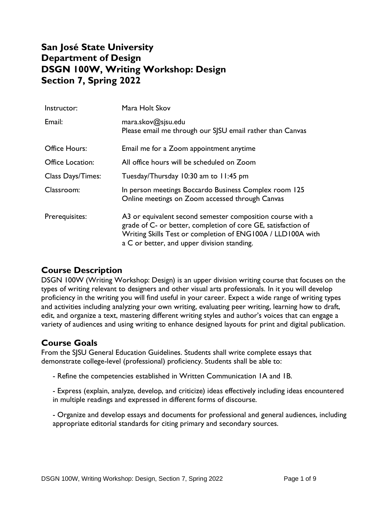# **San José State University Department of Design DSGN 100W, Writing Workshop: Design Section 7, Spring 2022**

| Instructor:             | Mara Holt Skov                                                                                                                                                                                                                            |
|-------------------------|-------------------------------------------------------------------------------------------------------------------------------------------------------------------------------------------------------------------------------------------|
| Email:                  | maxa.skov@sisu.edu<br>Please email me through our SJSU email rather than Canvas                                                                                                                                                           |
| <b>Office Hours:</b>    | Email me for a Zoom appointment anytime                                                                                                                                                                                                   |
| <b>Office Location:</b> | All office hours will be scheduled on Zoom                                                                                                                                                                                                |
| Class Days/Times:       | Tuesday/Thursday 10:30 am to 11:45 pm                                                                                                                                                                                                     |
| Classroom:              | In person meetings Boccardo Business Complex room 125<br>Online meetings on Zoom accessed through Canvas                                                                                                                                  |
| Prerequisites:          | A3 or equivalent second semester composition course with a<br>grade of C- or better, completion of core GE, satisfaction of<br>Writing Skills Test or completion of ENG100A / LLD100A with<br>a C or better, and upper division standing. |

# **Course Description**

DSGN 100W (Writing Workshop: Design) is an upper division writing course that focuses on the types of writing relevant to designers and other visual arts professionals. In it you will develop proficiency in the writing you will find useful in your career. Expect a wide range of writing types and activities including analyzing your own writing, evaluating peer writing, learning how to draft, edit, and organize a text, mastering different writing styles and author's voices that can engage a variety of audiences and using writing to enhance designed layouts for print and digital publication.

#### **Course Goals**

From the SJSU General Education Guidelines. Students shall write complete essays that demonstrate college-level (professional) proficiency. Students shall be able to:

- Refine the competencies established in Written Communication 1A and 1B.

- Express (explain, analyze, develop, and criticize) ideas effectively including ideas encountered in multiple readings and expressed in different forms of discourse.

- Organize and develop essays and documents for professional and general audiences, including appropriate editorial standards for citing primary and secondary sources.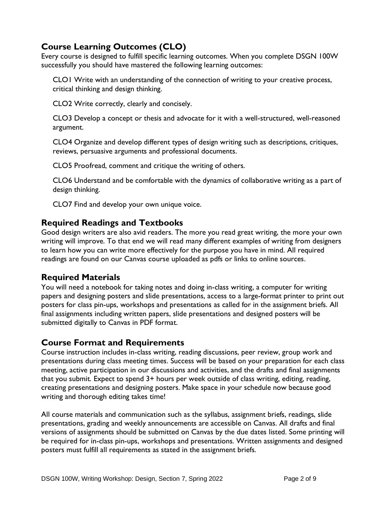# **Course Learning Outcomes (CLO)**

Every course is designed to fulfill specific learning outcomes. When you complete DSGN 100W successfully you should have mastered the following learning outcomes:

CLO1 Write with an understanding of the connection of writing to your creative process, critical thinking and design thinking.

CLO2 Write correctly, clearly and concisely.

CLO3 Develop a concept or thesis and advocate for it with a well-structured, well-reasoned argument.

CLO4 Organize and develop different types of design writing such as descriptions, critiques, reviews, persuasive arguments and professional documents.

CLO5 Proofread, comment and critique the writing of others.

CLO6 Understand and be comfortable with the dynamics of collaborative writing as a part of design thinking.

CLO7 Find and develop your own unique voice.

#### **Required Readings and Textbooks**

Good design writers are also avid readers. The more you read great writing, the more your own writing will improve. To that end we will read many different examples of writing from designers to learn how you can write more effectively for the purpose you have in mind. All required readings are found on our Canvas course uploaded as pdfs or links to online sources.

#### **Required Materials**

You will need a notebook for taking notes and doing in-class writing, a computer for writing papers and designing posters and slide presentations, access to a large-format printer to print out posters for class pin-ups, workshops and presentations as called for in the assignment briefs. All final assignments including written papers, slide presentations and designed posters will be submitted digitally to Canvas in PDF format.

#### **Course Format and Requirements**

Course instruction includes in-class writing, reading discussions, peer review, group work and presentations during class meeting times. Success will be based on your preparation for each class meeting, active participation in our discussions and activities, and the drafts and final assignments that you submit. Expect to spend 3+ hours per week outside of class writing, editing, reading, creating presentations and designing posters. Make space in your schedule now because good writing and thorough editing takes time!

All course materials and communication such as the syllabus, assignment briefs, readings, slide presentations, grading and weekly announcements are accessible on Canvas. All drafts and final versions of assignments should be submitted on Canvas by the due dates listed. Some printing will be required for in-class pin-ups, workshops and presentations. Written assignments and designed posters must fulfill all requirements as stated in the assignment briefs.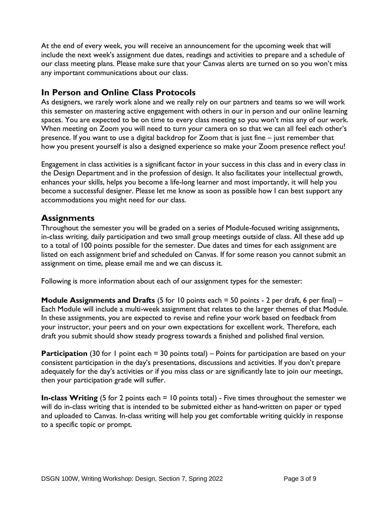At the end of every week, you will receive an announcement for the upcoming week that will include the next week's assignment due dates, readings and activities to prepare and a schedule of our class meeting plans. Please make sure that your Canvas alerts are turned on so you won't miss any important communications about our class.

### **In Person and Online Class Protocols**

As designers, we rarely work alone and we really rely on our partners and teams so we will work this semester on mastering active engagement with others in our in person and our online learning spaces. You are expected to be on time to every class meeting so you won't miss any of our work. When meeting on Zoom you will need to turn your camera on so that we can all feel each other's presence. If you want to use a digital backdrop for Zoom that is just fine – just remember that how you present yourself is also a designed experience so make your Zoom presence reflect you!

Engagement in class activities is a significant factor in your success in this class and in every class in the Design Department and in the profession of design. It also facilitates your intellectual growth, enhances your skills, helps you become a life-long learner and most importantly, it will help you become a successful designer. Please let me know as soon as possible how I can best support any accommodations you might need for our class.

# **Assignments**

Throughout the semester you will be graded on a series of Module-focused writing assignments, in-class writing, daily participation and two small group meetings outside of class. All these add up to a total of 100 points possible for the semester. Due dates and times for each assignment are listed on each assignment brief and scheduled on Canvas. If for some reason you cannot submit an assignment on time, please email me and we can discuss it.

Following is more information about each of our assignment types for the semester:

**Module Assignments and Drafts** (5 for 10 points each = 50 points - 2 per draft, 6 per final) – Each Module will include a multi-week assignment that relates to the larger themes of that Module. In these assignments, you are expected to revise and refine your work based on feedback from your instructor, your peers and on your own expectations for excellent work. Therefore, each draft you submit should show steady progress towards a finished and polished final version.

**Participation** (30 for 1 point each = 30 points total) – Points for participation are based on your consistent participation in the day's presentations, discussions and activities. If you don't prepare adequately for the day's activities or if you miss class or are significantly late to join our meetings, then your participation grade will suffer.

**In-class Writing** (5 for 2 points each = 10 points total) - Five times throughout the semester we will do in-class writing that is intended to be submitted either as hand-written on paper or typed and uploaded to Canvas. In-class writing will help you get comfortable writing quickly in response to a specific topic or prompt.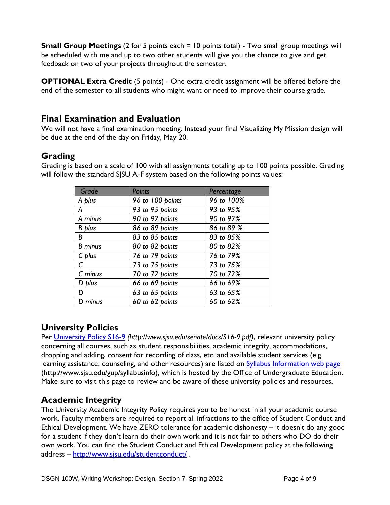**Small Group Meetings** (2 for 5 points each = 10 points total) - Two small group meetings will be scheduled with me and up to two other students will give you the chance to give and get feedback on two of your projects throughout the semester.

**OPTIONAL Extra Credit** (5 points) - One extra credit assignment will be offered before the end of the semester to all students who might want or need to improve their course grade.

#### **Final Examination and Evaluation**

We will not have a final examination meeting. Instead your final Visualizing My Mission design will be due at the end of the day on Friday, May 20.

# **Grading**

| Grade          | <b>Points</b>    | Percentage |
|----------------|------------------|------------|
| A plus         | 96 to 100 points | 96 to 100% |
| А              | 93 to 95 points  | 93 to 95%  |
| A minus        | 90 to 92 points  | 90 to 92%  |
| B plus         | 86 to 89 points  | 86 to 89 % |
| B              | 83 to 85 points  | 83 to 85%  |
| <b>B</b> minus | 80 to 82 points  | 80 to 82%  |
| C plus         | 76 to 79 points  | 76 to 79%  |
|                | 73 to 75 points  | 73 to 75%  |
| C minus        | 70 to 72 points  | 70 to 72%  |
| D plus         | 66 to 69 points  | 66 to 69%  |
| D              | 63 to 65 points  | 63 to 65%  |
| D minus        | 60 to 62 points  | 60 to 62%  |

Grading is based on a scale of 100 with all assignments totaling up to 100 points possible. Grading will follow the standard SJSU A-F system based on the following points values:

# **University Policies**

Per [University Policy S16-9](http://www.sjsu.edu/senate/docs/S16-9.pdf) *(http://www.sjsu.edu/senate/docs/S16-9.pdf)*, relevant university policy concerning all courses, such as student responsibilities, academic integrity, accommodations, dropping and adding, consent for recording of class, etc. and available student services (e.g. learning assistance, counseling, and other resources) are listed on **Syllabus Information web page** (http://www.sjsu.edu/gup/syllabusinfo), which is hosted by the Office of Undergraduate Education. Make sure to visit this page to review and be aware of these university policies and resources.

# **Academic Integrity**

The University Academic Integrity Policy requires you to be honest in all your academic course work. Faculty members are required to report all infractions to the office of Student Conduct and Ethical Development. We have ZERO tolerance for academic dishonesty – it doesn't do any good for a student if they don't learn do their own work and it is not fair to others who DO do their own work. You can find the Student Conduct and Ethical Development policy at the following address – <http://www.sjsu.edu/studentconduct/> .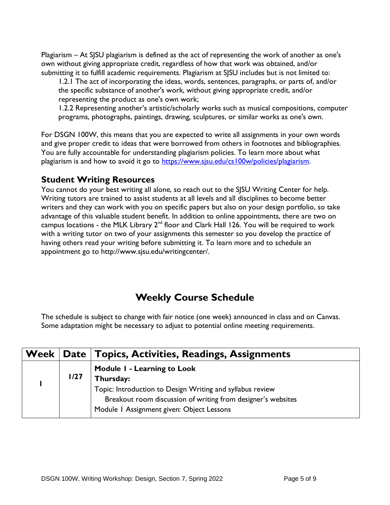Plagiarism – At SJSU plagiarism is defined as the act of representing the work of another as one's own without giving appropriate credit, regardless of how that work was obtained, and/or submitting it to fulfill academic requirements. Plagiarism at SJSU includes but is not limited to:

1.2.1 The act of incorporating the ideas, words, sentences, paragraphs, or parts of, and/or the specific substance of another's work, without giving appropriate credit, and/or representing the product as one's own work;

1.2.2 Representing another's artistic/scholarly works such as musical compositions, computer programs, photographs, paintings, drawing, sculptures, or similar works as one's own.

For DSGN 100W, this means that you are expected to write all assignments in your own words and give proper credit to ideas that were borrowed from others in footnotes and bibliographies. You are fully accountable for understanding plagiarism policies. To learn more about what plagiarism is and how to avoid it go to [https://www.sjsu.edu/cs100w/policies/plagiarism.](https://www.sjsu.edu/cs100w/policies/plagiarism)

#### **Student Writing Resources**

You cannot do your best writing all alone, so reach out to the SJSU Writing Center for help. Writing tutors are trained to assist students at all levels and all disciplines to become better writers and they can work with you on specific papers but also on your design portfolio, so take advantage of this valuable student benefit. In addition to online appointments, there are two on campus locations - the MLK Library  $2^{nd}$  floor and Clark Hall 126. You will be required to work with a writing tutor on two of your assignments this semester so you develop the practice of having others read your writing before submitting it. To learn more and to schedule an appointment go to http://www.sjsu.edu/writingcenter/.

# **Weekly Course Schedule**

The schedule is subject to change with fair notice (one week) announced in class and on Canvas. Some adaptation might be necessary to adjust to potential online meeting requirements.

|  |      | Week   Date   Topics, Activities, Readings, Assignments                                                                                                                |
|--|------|------------------------------------------------------------------------------------------------------------------------------------------------------------------------|
|  | 1/27 | Module I - Learning to Look<br>Thursday:                                                                                                                               |
|  |      | Topic: Introduction to Design Writing and syllabus review<br>Breakout room discussion of writing from designer's websites<br>Module I Assignment given: Object Lessons |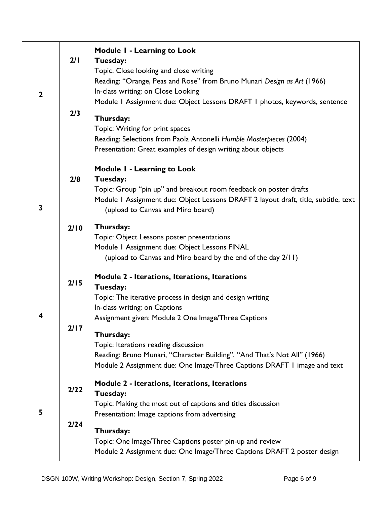| $\mathbf{2}$ | 2/1<br>2/3 | Module I - Learning to Look<br>Tuesday:<br>Topic: Close looking and close writing<br>Reading: "Orange, Peas and Rose" from Bruno Munari Design as Art (1966)<br>In-class writing: on Close Looking<br>Module I Assignment due: Object Lessons DRAFT I photos, keywords, sentence<br>Thursday:<br>Topic: Writing for print spaces<br>Reading: Selections from Paola Antonelli Humble Masterpieces (2004)<br>Presentation: Great examples of design writing about objects |
|--------------|------------|-------------------------------------------------------------------------------------------------------------------------------------------------------------------------------------------------------------------------------------------------------------------------------------------------------------------------------------------------------------------------------------------------------------------------------------------------------------------------|
| 3            | 2/8        | <b>Module I - Learning to Look</b><br>Tuesday:<br>Topic: Group "pin up" and breakout room feedback on poster drafts<br>Module I Assignment due: Object Lessons DRAFT 2 layout draft, title, subtitle, text<br>(upload to Canvas and Miro board)                                                                                                                                                                                                                         |
|              | 2/10       | Thursday:<br>Topic: Object Lessons poster presentations<br>Module I Assignment due: Object Lessons FINAL<br>(upload to Canvas and Miro board by the end of the day 2/11)                                                                                                                                                                                                                                                                                                |
| 4            | 2/15       | Module 2 - Iterations, Iterations, Iterations<br>Tuesday:<br>Topic: The iterative process in design and design writing<br>In-class writing: on Captions<br>Assignment given: Module 2 One Image/Three Captions                                                                                                                                                                                                                                                          |
|              | 2/17       | Thursday:<br>Topic: Iterations reading discussion<br>Reading: Bruno Munari, "Character Building", "And That's Not All" (1966)<br>Module 2 Assignment due: One Image/Three Captions DRAFT I image and text                                                                                                                                                                                                                                                               |
| 5            | 2/22       | Module 2 - Iterations, Iterations, Iterations<br>Tuesday:<br>Topic: Making the most out of captions and titles discussion<br>Presentation: Image captions from advertising                                                                                                                                                                                                                                                                                              |
|              | 2/24       | Thursday:<br>Topic: One Image/Three Captions poster pin-up and review<br>Module 2 Assignment due: One Image/Three Captions DRAFT 2 poster design                                                                                                                                                                                                                                                                                                                        |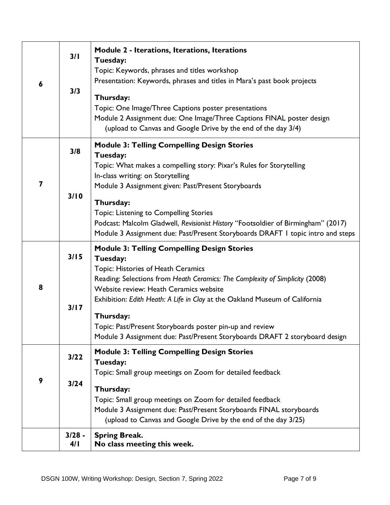| 6 | 3/1<br>3/3       | Module 2 - Iterations, Iterations, Iterations<br>Tuesday:<br>Topic: Keywords, phrases and titles workshop<br>Presentation: Keywords, phrases and titles in Mara's past book projects<br>Thursday:<br>Topic: One Image/Three Captions poster presentations<br>Module 2 Assignment due: One Image/Three Captions FINAL poster design<br>(upload to Canvas and Google Drive by the end of the day 3/4) |
|---|------------------|-----------------------------------------------------------------------------------------------------------------------------------------------------------------------------------------------------------------------------------------------------------------------------------------------------------------------------------------------------------------------------------------------------|
| 7 | 3/8              | <b>Module 3: Telling Compelling Design Stories</b><br>Tuesday:<br>Topic: What makes a compelling story: Pixar's Rules for Storytelling<br>In-class writing: on Storytelling<br>Module 3 Assignment given: Past/Present Storyboards                                                                                                                                                                  |
|   | 3/10             | Thursday:<br><b>Topic: Listening to Compelling Stories</b><br>Podcast: Malcolm Gladwell, Revisionist History "Footsoldier of Birmingham" (2017)<br>Module 3 Assignment due: Past/Present Storyboards DRAFT I topic intro and steps                                                                                                                                                                  |
|   | 3/15             | <b>Module 3: Telling Compelling Design Stories</b><br>Tuesday:<br>Topic: Histories of Heath Ceramics                                                                                                                                                                                                                                                                                                |
| 8 | 3/17             | Reading: Selections from Heath Ceramics: The Complexity of Simplicity (2008)<br>Website review: Heath Ceramics website<br>Exhibition: Edith Heath: A Life in Clay at the Oakland Museum of California<br>Thursday:<br>Topic: Past/Present Storyboards poster pin-up and review<br>Module 3 Assignment due: Past/Present Storyboards DRAFT 2 storyboard design                                       |
| 9 | $3/22$           | <b>Module 3: Telling Compelling Design Stories</b><br>Tuesday:<br>Topic: Small group meetings on Zoom for detailed feedback                                                                                                                                                                                                                                                                         |
|   | 3/24             | Thursday:<br>Topic: Small group meetings on Zoom for detailed feedback<br>Module 3 Assignment due: Past/Present Storyboards FINAL storyboards<br>(upload to Canvas and Google Drive by the end of the day 3/25)                                                                                                                                                                                     |
|   | $3/28 -$<br>4/ I | <b>Spring Break.</b><br>No class meeting this week.                                                                                                                                                                                                                                                                                                                                                 |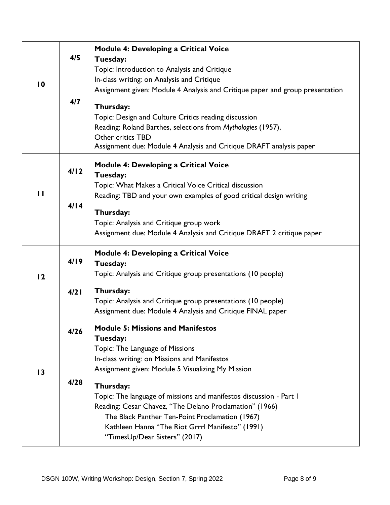| $\overline{10}$ | 4/5  | <b>Module 4: Developing a Critical Voice</b><br>Tuesday:<br>Topic: Introduction to Analysis and Critique<br>In-class writing: on Analysis and Critique<br>Assignment given: Module 4 Analysis and Critique paper and group presentation                                            |
|-----------------|------|------------------------------------------------------------------------------------------------------------------------------------------------------------------------------------------------------------------------------------------------------------------------------------|
|                 | 4/7  | Thursday:<br>Topic: Design and Culture Critics reading discussion<br>Reading: Roland Barthes, selections from Mythologies (1957),<br>Other critics TBD<br>Assignment due: Module 4 Analysis and Critique DRAFT analysis paper                                                      |
| $\mathbf{H}$    | 4/12 | <b>Module 4: Developing a Critical Voice</b><br>Tuesday:<br>Topic: What Makes a Critical Voice Critical discussion<br>Reading: TBD and your own examples of good critical design writing                                                                                           |
|                 | 4/14 | Thursday:<br>Topic: Analysis and Critique group work<br>Assignment due: Module 4 Analysis and Critique DRAFT 2 critique paper                                                                                                                                                      |
| 12              | 4/19 | <b>Module 4: Developing a Critical Voice</b><br>Tuesday:<br>Topic: Analysis and Critique group presentations (10 people)                                                                                                                                                           |
|                 | 4/21 | Thursday:<br>Topic: Analysis and Critique group presentations (10 people)<br>Assignment due: Module 4 Analysis and Critique FINAL paper                                                                                                                                            |
| $\overline{13}$ | 4/26 | <b>Module 5: Missions and Manifestos</b><br>Tuesday:<br>Topic: The Language of Missions<br>In-class writing: on Missions and Manifestos<br>Assignment given: Module 5 Visualizing My Mission                                                                                       |
|                 | 4/28 | Thursday:<br>Topic: The language of missions and manifestos discussion - Part 1<br>Reading: Cesar Chavez, "The Delano Proclamation" (1966)<br>The Black Panther Ten-Point Proclamation (1967)<br>Kathleen Hanna "The Riot Grrrl Manifesto" (1991)<br>"TimesUp/Dear Sisters" (2017) |